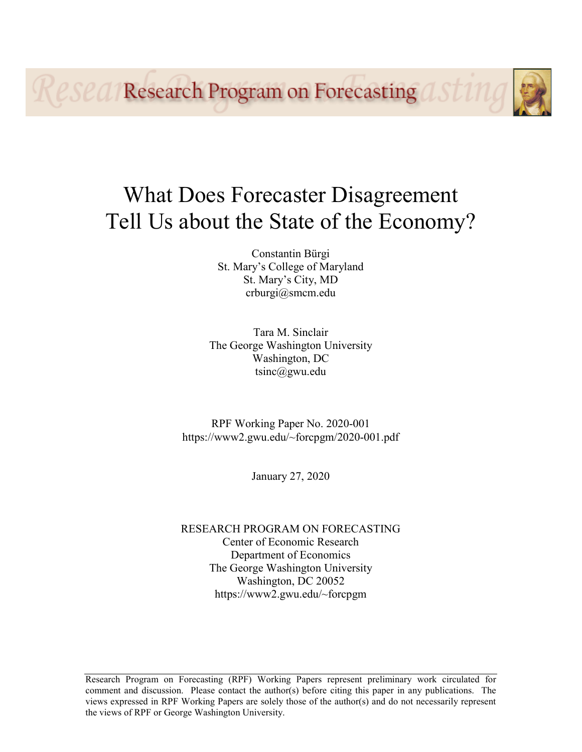**Research Program on Forecasting OF** 

# What Does Forecaster Disagreement Tell Us about the State of the Economy?

Constantin Bürgi St. Mary's College of Maryland St. Mary's City, MD crburgi@smcm.edu

Tara M. Sinclair The George Washington University Washington, DC tsinc@gwu.edu

RPF Working Paper No. 2020-001 https://www2.gwu.edu/~forcpgm/2020-001.pdf

January 27, 2020

RESEARCH PROGRAM ON FORECASTING Center of Economic Research Department of Economics The George Washington University Washington, DC 20052 https://www2.gwu.edu/~forcpgm

Research Program on Forecasting (RPF) Working Papers represent preliminary work circulated for comment and discussion. Please contact the author(s) before citing this paper in any publications. The views expressed in RPF Working Papers are solely those of the author(s) and do not necessarily represent the views of RPF or George Washington University.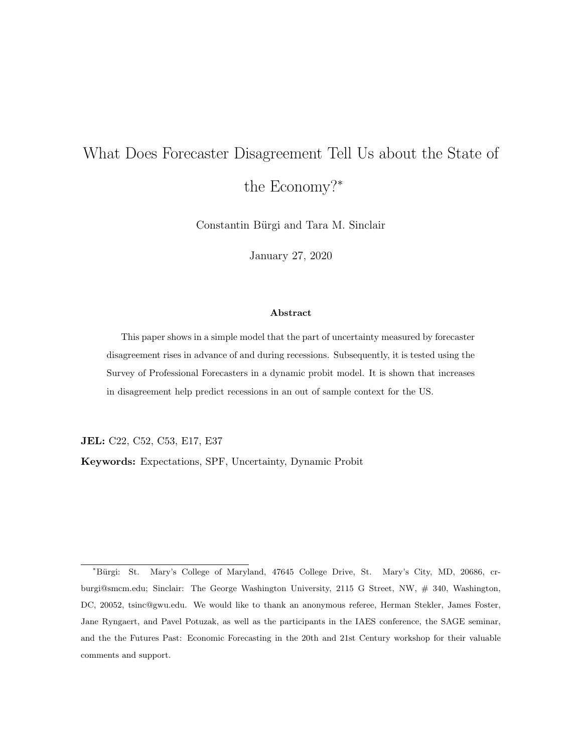## What Does Forecaster Disagreement Tell Us about the State of the Economy?<sup>∗</sup>

Constantin Bürgi and Tara M. Sinclair

January 27, 2020

#### Abstract

This paper shows in a simple model that the part of uncertainty measured by forecaster disagreement rises in advance of and during recessions. Subsequently, it is tested using the Survey of Professional Forecasters in a dynamic probit model. It is shown that increases in disagreement help predict recessions in an out of sample context for the US.

JEL: C22, C52, C53, E17, E37

Keywords: Expectations, SPF, Uncertainty, Dynamic Probit

<sup>∗</sup>B¨urgi: St. Mary's College of Maryland, 47645 College Drive, St. Mary's City, MD, 20686, crburgi@smcm.edu; Sinclair: The George Washington University, 2115 G Street, NW, # 340, Washington, DC, 20052, tsinc@gwu.edu. We would like to thank an anonymous referee, Herman Stekler, James Foster, Jane Ryngaert, and Pavel Potuzak, as well as the participants in the IAES conference, the SAGE seminar, and the the Futures Past: Economic Forecasting in the 20th and 21st Century workshop for their valuable comments and support.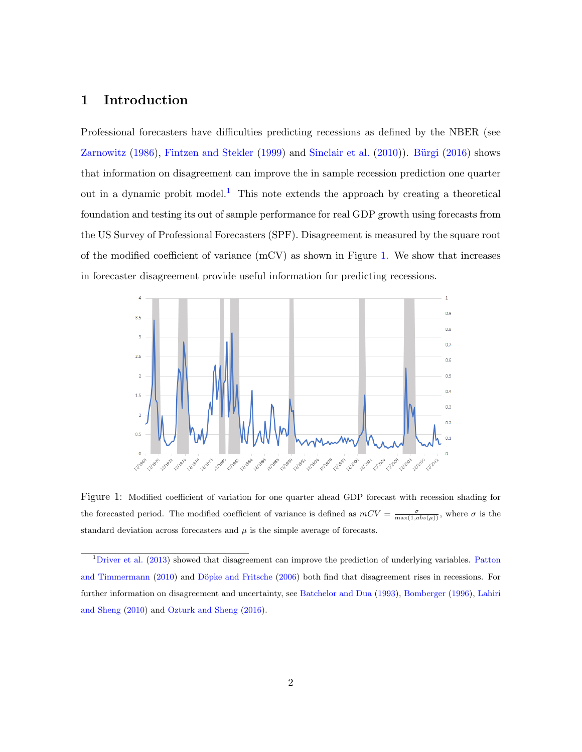### 1 Introduction

Professional forecasters have difficulties predicting recessions as defined by the NBER (see [Zarnowitz](#page-10-0)  $(1986)$ , [Fintzen and Stekler](#page-10-1)  $(1999)$  and [Sinclair et al.](#page-10-2)  $(2010)$ ). Bürgi  $(2016)$  shows that information on disagreement can improve the in sample recession prediction one quarter out in a dynamic probit model.<sup>[1](#page-2-0)</sup> This note extends the approach by creating a theoretical foundation and testing its out of sample performance for real GDP growth using forecasts from the US Survey of Professional Forecasters (SPF). Disagreement is measured by the square root of the modified coefficient of variance (mCV) as shown in Figure [1.](#page-2-1) We show that increases in forecaster disagreement provide useful information for predicting recessions.



<span id="page-2-1"></span>Figure 1: Modified coefficient of variation for one quarter ahead GDP forecast with recession shading for the forecasted period. The modified coefficient of variance is defined as  $mCV = \frac{\sigma}{\max(1, abs(\mu))}$ , where  $\sigma$  is the standard deviation across forecasters and  $\mu$  is the simple average of forecasts.

<span id="page-2-0"></span><sup>&</sup>lt;sup>1</sup>[Driver et al.](#page-9-1) [\(2013\)](#page-9-1) showed that disagreement can improve the prediction of underlying variables. [Patton](#page-10-3) [and Timmermann](#page-10-3) [\(2010\)](#page-10-3) and Döpke and Fritsche [\(2006\)](#page-9-2) both find that disagreement rises in recessions. For further information on disagreement and uncertainty, see [Batchelor and Dua](#page-9-3) [\(1993\)](#page-9-3), [Bomberger](#page-9-4) [\(1996\)](#page-9-4), [Lahiri](#page-10-4) [and Sheng](#page-10-4) [\(2010\)](#page-10-4) and [Ozturk and Sheng](#page-10-5) [\(2016\)](#page-10-5).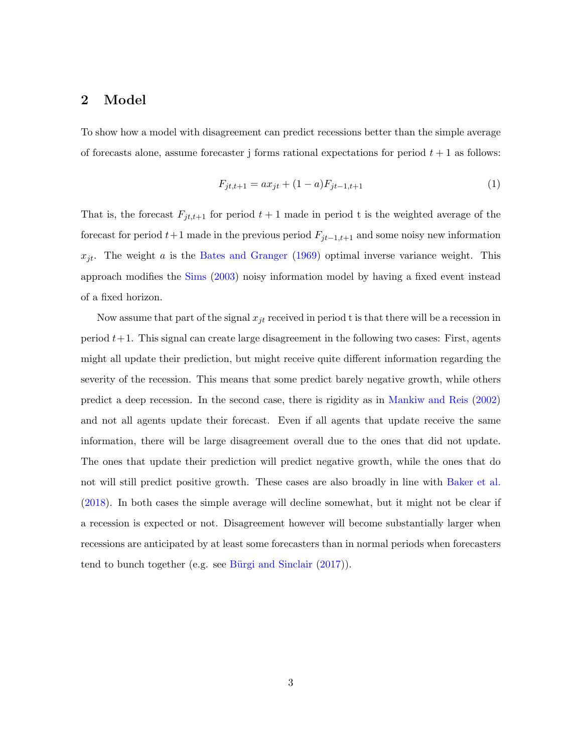#### 2 Model

To show how a model with disagreement can predict recessions better than the simple average of forecasts alone, assume forecaster j forms rational expectations for period  $t + 1$  as follows:

$$
F_{jt,t+1} = ax_{jt} + (1-a)F_{jt-1,t+1}
$$
\n<sup>(1)</sup>

That is, the forecast  $F_{jt,t+1}$  for period  $t+1$  made in period t is the weighted average of the forecast for period  $t+1$  made in the previous period  $F_{jt-1,t+1}$  and some noisy new information  $x_{jt}$ . The weight a is the [Bates and Granger](#page-9-5) [\(1969\)](#page-9-5) optimal inverse variance weight. This approach modifies the [Sims](#page-10-6) [\(2003\)](#page-10-6) noisy information model by having a fixed event instead of a fixed horizon.

Now assume that part of the signal  $x_{jt}$  received in period t is that there will be a recession in period  $t+1$ . This signal can create large disagreement in the following two cases: First, agents might all update their prediction, but might receive quite different information regarding the severity of the recession. This means that some predict barely negative growth, while others predict a deep recession. In the second case, there is rigidity as in [Mankiw and Reis](#page-10-7) [\(2002\)](#page-10-7) and not all agents update their forecast. Even if all agents that update receive the same information, there will be large disagreement overall due to the ones that did not update. The ones that update their prediction will predict negative growth, while the ones that do not will still predict positive growth. These cases are also broadly in line with [Baker et al.](#page-9-6) [\(2018\)](#page-9-6). In both cases the simple average will decline somewhat, but it might not be clear if a recession is expected or not. Disagreement however will become substantially larger when recessions are anticipated by at least some forecasters than in normal periods when forecasters tend to bunch together (e.g. see Bürgi and Sinclair  $(2017)$ ).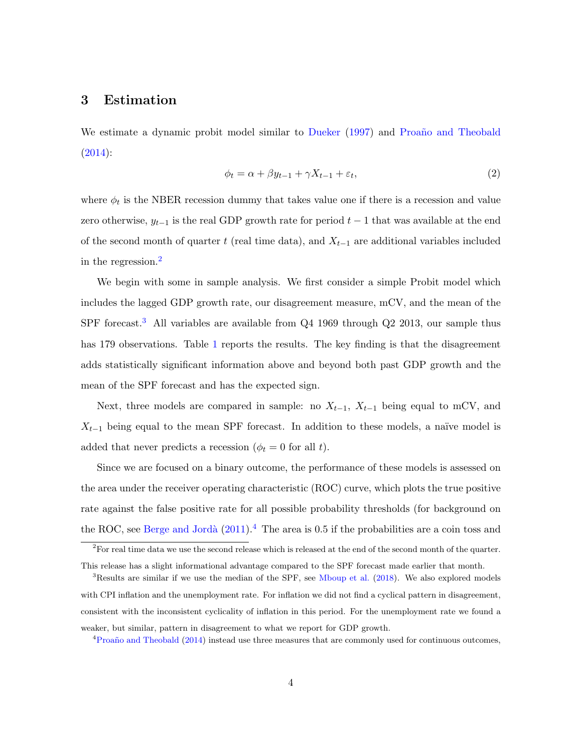#### 3 Estimation

We estimate a dynamic probit model similar to [Dueker](#page-9-8) [\(1997\)](#page-9-8) and Proaño and Theobald [\(2014\)](#page-10-8):

$$
\phi_t = \alpha + \beta y_{t-1} + \gamma X_{t-1} + \varepsilon_t,\tag{2}
$$

where  $\phi_t$  is the NBER recession dummy that takes value one if there is a recession and value zero otherwise,  $y_{t-1}$  is the real GDP growth rate for period  $t-1$  that was available at the end of the second month of quarter t (real time data), and  $X_{t-1}$  are additional variables included in the regression.[2](#page-4-0)

We begin with some in sample analysis. We first consider a simple Probit model which includes the lagged GDP growth rate, our disagreement measure, mCV, and the mean of the SPF forecast.<sup>[3](#page-4-1)</sup> All variables are available from Q4 1969 through Q2 2013, our sample thus has [1](#page-5-0)79 observations. Table 1 reports the results. The key finding is that the disagreement adds statistically significant information above and beyond both past GDP growth and the mean of the SPF forecast and has the expected sign.

Next, three models are compared in sample: no  $X_{t-1}$ ,  $X_{t-1}$  being equal to mCV, and  $X_{t-1}$  being equal to the mean SPF forecast. In addition to these models, a naïve model is added that never predicts a recession ( $\phi_t = 0$  for all t).

Since we are focused on a binary outcome, the performance of these models is assessed on the area under the receiver operating characteristic (ROC) curve, which plots the true positive rate against the false positive rate for all possible probability thresholds (for background on the ROC, see Berge and Jordà  $(2011)^{4}$  $(2011)^{4}$  $(2011)^{4}$  $(2011)^{4}$ . The area is 0.5 if the probabilities are a coin toss and

<span id="page-4-0"></span> $2$ For real time data we use the second release which is released at the end of the second month of the quarter. This release has a slight informational advantage compared to the SPF forecast made earlier that month.

<span id="page-4-1"></span><sup>&</sup>lt;sup>3</sup>Results are similar if we use the median of the SPF, see [Mboup et al.](#page-10-9) [\(2018\)](#page-10-9). We also explored models with CPI inflation and the unemployment rate. For inflation we did not find a cyclical pattern in disagreement, consistent with the inconsistent cyclicality of inflation in this period. For the unemployment rate we found a weaker, but similar, pattern in disagreement to what we report for GDP growth.

<span id="page-4-2"></span> ${}^{4}$ Proaño and Theobald [\(2014\)](#page-10-8) instead use three measures that are commonly used for continuous outcomes,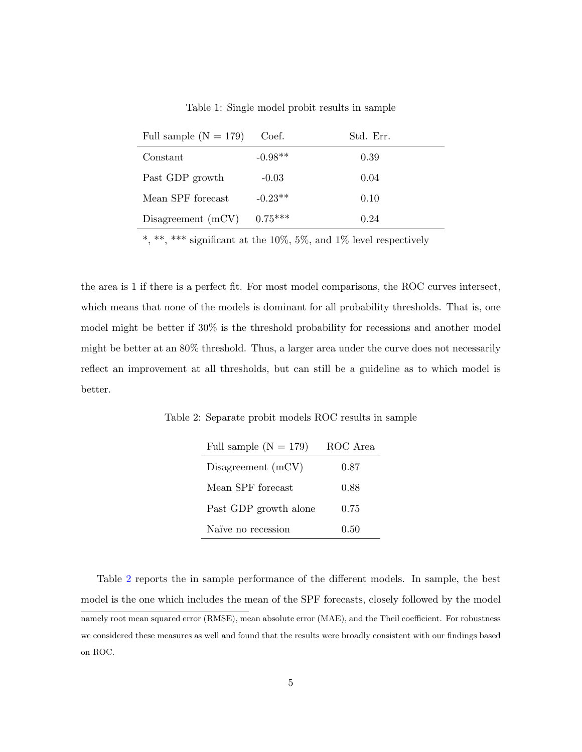<span id="page-5-0"></span>

|  |  |  |  |  |  |  | Table 1: Single model probit results in sample |
|--|--|--|--|--|--|--|------------------------------------------------|
|--|--|--|--|--|--|--|------------------------------------------------|

| Full sample $(N = 179)$ | Coef.     | Std. Err. |
|-------------------------|-----------|-----------|
| Constant                | $-0.98**$ | 0.39      |
| Past GDP growth         | $-0.03$   | 0.04      |
| Mean SPF forecast       | $-0.23**$ | 0.10      |
| Disagreement $(mCV)$    | $0.75***$ | 0.24      |

\*, \*\*, \*\*\* significant at the 10%, 5%, and 1% level respectively

the area is 1 if there is a perfect fit. For most model comparisons, the ROC curves intersect, which means that none of the models is dominant for all probability thresholds. That is, one model might be better if 30% is the threshold probability for recessions and another model might be better at an 80% threshold. Thus, a larger area under the curve does not necessarily reflect an improvement at all thresholds, but can still be a guideline as to which model is better.

Table 2: Separate probit models ROC results in sample

<span id="page-5-1"></span>

| Full sample $(N = 179)$ | ROC Area |
|-------------------------|----------|
| Disagreement $(mCV)$    | 0.87     |
| Mean SPF forecast       | 0.88     |
| Past GDP growth alone   | 0.75     |
| Naïve no recession      | 0.50     |

Table [2](#page-5-1) reports the in sample performance of the different models. In sample, the best model is the one which includes the mean of the SPF forecasts, closely followed by the model namely root mean squared error (RMSE), mean absolute error (MAE), and the Theil coefficient. For robustness we considered these measures as well and found that the results were broadly consistent with our findings based on ROC.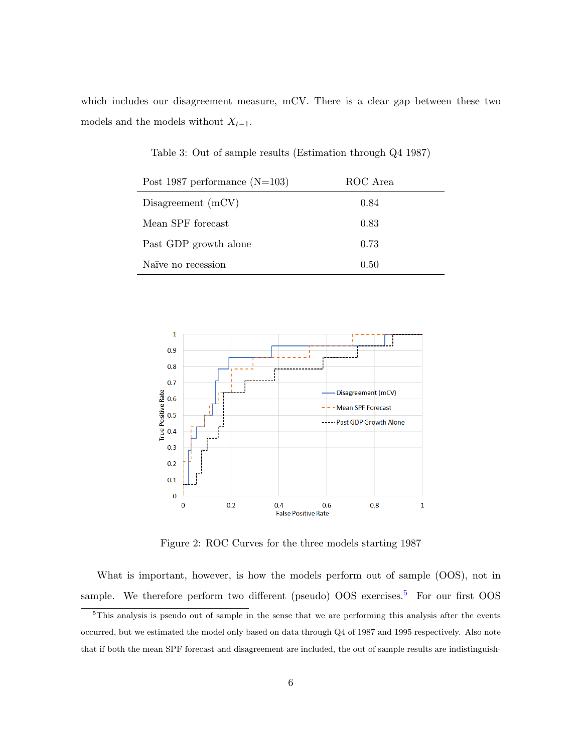which includes our disagreement measure, mCV. There is a clear gap between these two models and the models without  $X_{t-1}$ .

| Post 1987 performance $(N=103)$ | ROC Area |  |
|---------------------------------|----------|--|
| Disagreement $(mCV)$            | 0.84     |  |
| Mean SPF forecast               | 0.83     |  |
| Past GDP growth alone           | 0.73     |  |
| Naïve no recession              | 0.50     |  |

<span id="page-6-1"></span>Table 3: Out of sample results (Estimation through Q4 1987)



<span id="page-6-2"></span>Figure 2: ROC Curves for the three models starting 1987

What is important, however, is how the models perform out of sample (OOS), not in sample. We therefore perform two different (pseudo)  $OOS$  exercises.<sup>[5](#page-6-0)</sup> For our first  $OOS$ 

<span id="page-6-0"></span><sup>&</sup>lt;sup>5</sup>This analysis is pseudo out of sample in the sense that we are performing this analysis after the events occurred, but we estimated the model only based on data through Q4 of 1987 and 1995 respectively. Also note that if both the mean SPF forecast and disagreement are included, the out of sample results are indistinguish-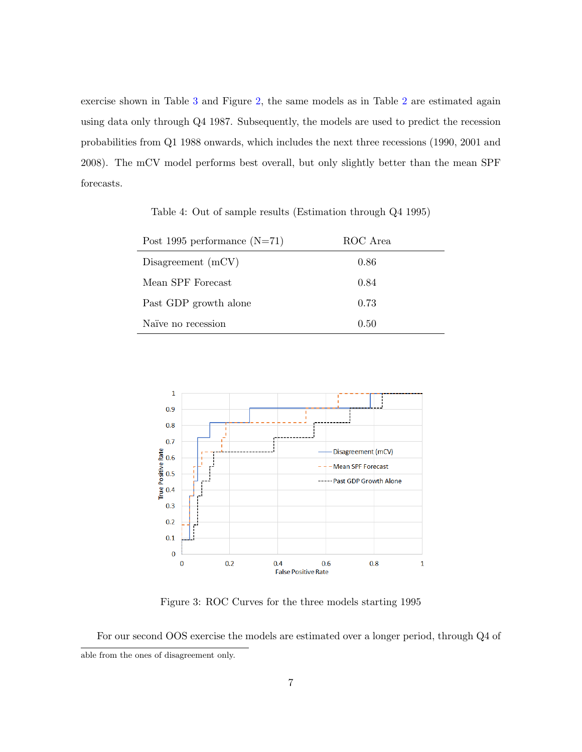exercise shown in Table [3](#page-6-1) and Figure [2,](#page-6-2) the same models as in Table [2](#page-5-1) are estimated again using data only through Q4 1987. Subsequently, the models are used to predict the recession probabilities from Q1 1988 onwards, which includes the next three recessions (1990, 2001 and 2008). The mCV model performs best overall, but only slightly better than the mean SPF forecasts.

<span id="page-7-0"></span>Table 4: Out of sample results (Estimation through Q4 1995)

| Post 1995 performance $(N=71)$ | ROC Area |
|--------------------------------|----------|
| Disagreement $(mCV)$           | 0.86     |
| Mean SPF Forecast              | 0.84     |
| Past GDP growth alone          | 0.73     |
| Naïve no recession             | 0.50     |



<span id="page-7-1"></span>Figure 3: ROC Curves for the three models starting 1995

For our second OOS exercise the models are estimated over a longer period, through Q4 of able from the ones of disagreement only.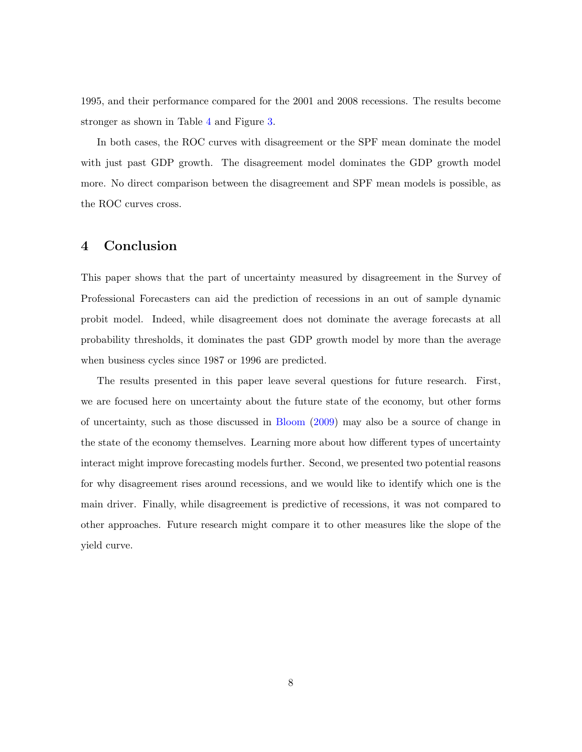1995, and their performance compared for the 2001 and 2008 recessions. The results become stronger as shown in Table [4](#page-7-0) and Figure [3.](#page-7-1)

In both cases, the ROC curves with disagreement or the SPF mean dominate the model with just past GDP growth. The disagreement model dominates the GDP growth model more. No direct comparison between the disagreement and SPF mean models is possible, as the ROC curves cross.

#### 4 Conclusion

This paper shows that the part of uncertainty measured by disagreement in the Survey of Professional Forecasters can aid the prediction of recessions in an out of sample dynamic probit model. Indeed, while disagreement does not dominate the average forecasts at all probability thresholds, it dominates the past GDP growth model by more than the average when business cycles since 1987 or 1996 are predicted.

The results presented in this paper leave several questions for future research. First, we are focused here on uncertainty about the future state of the economy, but other forms of uncertainty, such as those discussed in [Bloom](#page-9-10) [\(2009\)](#page-9-10) may also be a source of change in the state of the economy themselves. Learning more about how different types of uncertainty interact might improve forecasting models further. Second, we presented two potential reasons for why disagreement rises around recessions, and we would like to identify which one is the main driver. Finally, while disagreement is predictive of recessions, it was not compared to other approaches. Future research might compare it to other measures like the slope of the yield curve.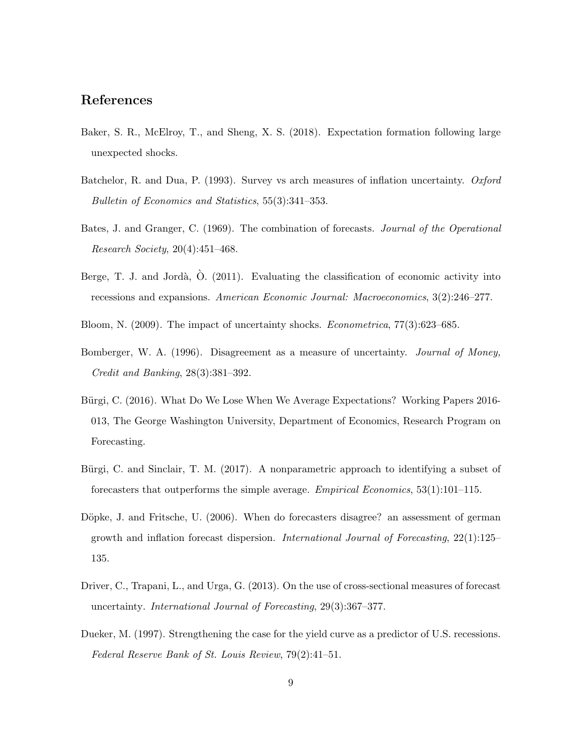#### References

- <span id="page-9-6"></span>Baker, S. R., McElroy, T., and Sheng, X. S. (2018). Expectation formation following large unexpected shocks.
- <span id="page-9-3"></span>Batchelor, R. and Dua, P. (1993). Survey vs arch measures of inflation uncertainty. Oxford Bulletin of Economics and Statistics, 55(3):341–353.
- <span id="page-9-5"></span>Bates, J. and Granger, C. (1969). The combination of forecasts. Journal of the Operational Research Society, 20(4):451–468.
- <span id="page-9-9"></span>Berge, T. J. and Jordà,  $\hat{O}$ . (2011). Evaluating the classification of economic activity into recessions and expansions. American Economic Journal: Macroeconomics, 3(2):246–277.
- <span id="page-9-10"></span>Bloom, N. (2009). The impact of uncertainty shocks. Econometrica, 77(3):623–685.
- <span id="page-9-4"></span>Bomberger, W. A. (1996). Disagreement as a measure of uncertainty. *Journal of Money*, Credit and Banking, 28(3):381–392.
- <span id="page-9-0"></span>Bürgi, C. (2016). What Do We Lose When We Average Expectations? Working Papers 2016-013, The George Washington University, Department of Economics, Research Program on Forecasting.
- <span id="page-9-7"></span>Bürgi, C. and Sinclair, T. M. (2017). A nonparametric approach to identifying a subset of forecasters that outperforms the simple average. Empirical Economics, 53(1):101–115.
- <span id="page-9-2"></span>Döpke, J. and Fritsche, U. (2006). When do forecasters disagree? an assessment of german growth and inflation forecast dispersion. *International Journal of Forecasting*,  $22(1):125-$ 135.
- <span id="page-9-1"></span>Driver, C., Trapani, L., and Urga, G. (2013). On the use of cross-sectional measures of forecast uncertainty. International Journal of Forecasting, 29(3):367–377.
- <span id="page-9-8"></span>Dueker, M. (1997). Strengthening the case for the yield curve as a predictor of U.S. recessions. Federal Reserve Bank of St. Louis Review, 79(2):41–51.